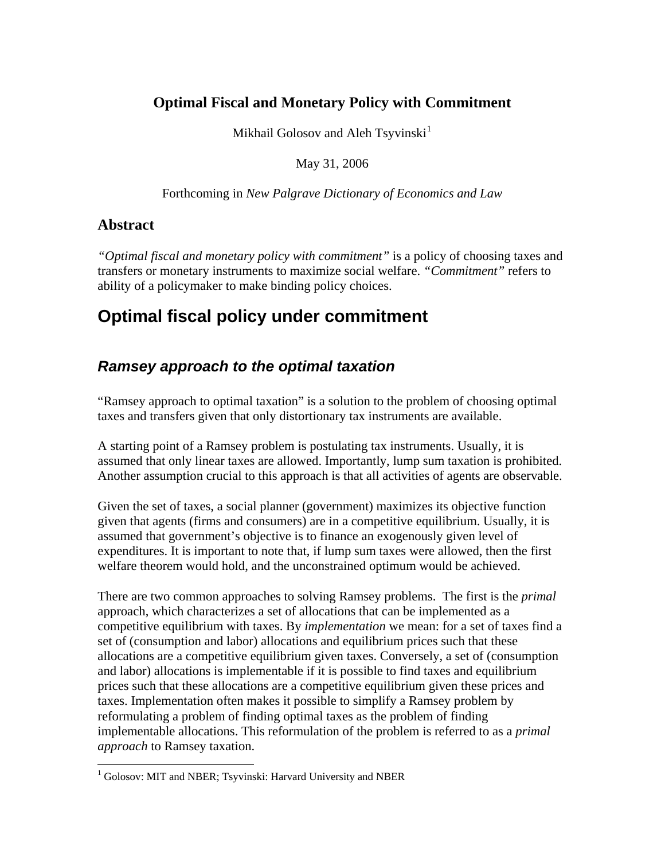# **Optimal Fiscal and Monetary Policy with Commitment**

Mikhail Golosov and Aleh Tsyvinski<sup>[1](#page-0-0)</sup>

May 31, 2006

Forthcoming in *New Palgrave Dictionary of Economics and Law*

### **Abstract**

 $\overline{a}$ 

*"Optimal fiscal and monetary policy with commitment"* is a policy of choosing taxes and transfers or monetary instruments to maximize social welfare. *"Commitment"* refers to ability of a policymaker to make binding policy choices.

# **Optimal fiscal policy under commitment**

# *Ramsey approach to the optimal taxation*

"Ramsey approach to optimal taxation" is a solution to the problem of choosing optimal taxes and transfers given that only distortionary tax instruments are available.

A starting point of a Ramsey problem is postulating tax instruments. Usually, it is assumed that only linear taxes are allowed. Importantly, lump sum taxation is prohibited. Another assumption crucial to this approach is that all activities of agents are observable.

Given the set of taxes, a social planner (government) maximizes its objective function given that agents (firms and consumers) are in a competitive equilibrium. Usually, it is assumed that government's objective is to finance an exogenously given level of expenditures. It is important to note that, if lump sum taxes were allowed, then the first welfare theorem would hold, and the unconstrained optimum would be achieved.

There are two common approaches to solving Ramsey problems. The first is the *primal* approach, which characterizes a set of allocations that can be implemented as a competitive equilibrium with taxes. By *implementation* we mean: for a set of taxes find a set of (consumption and labor) allocations and equilibrium prices such that these allocations are a competitive equilibrium given taxes. Conversely, a set of (consumption and labor) allocations is implementable if it is possible to find taxes and equilibrium prices such that these allocations are a competitive equilibrium given these prices and taxes. Implementation often makes it possible to simplify a Ramsey problem by reformulating a problem of finding optimal taxes as the problem of finding implementable allocations. This reformulation of the problem is referred to as a *primal approach* to Ramsey taxation.

<span id="page-0-0"></span><sup>&</sup>lt;sup>1</sup> Golosov: MIT and NBER; Tsyvinski: Harvard University and NBER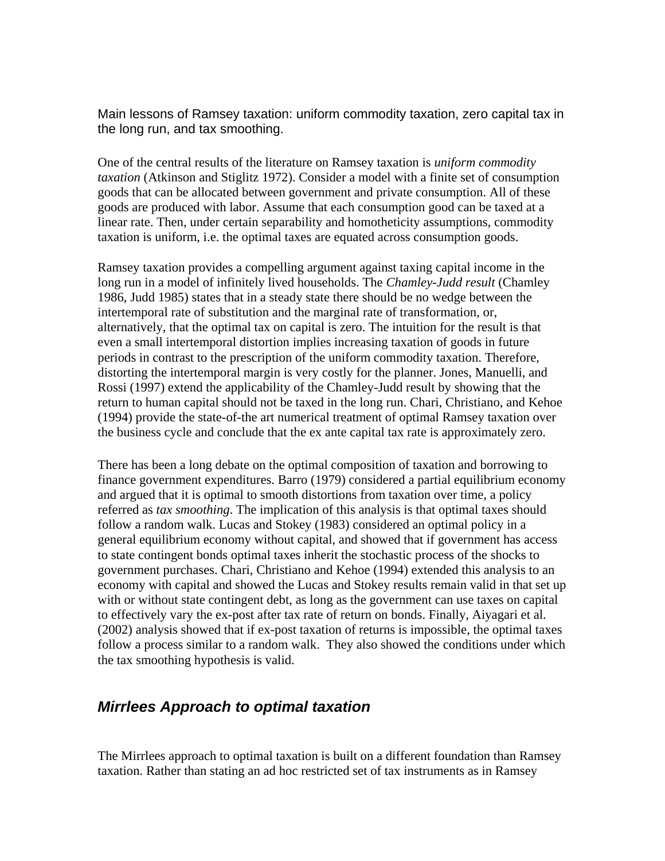Main lessons of Ramsey taxation: uniform commodity taxation, zero capital tax in the long run, and tax smoothing.

One of the central results of the literature on Ramsey taxation is *uniform commodity taxation* (Atkinson and Stiglitz 1972). Consider a model with a finite set of consumption goods that can be allocated between government and private consumption. All of these goods are produced with labor. Assume that each consumption good can be taxed at a linear rate. Then, under certain separability and homotheticity assumptions, commodity taxation is uniform, i.e. the optimal taxes are equated across consumption goods.

Ramsey taxation provides a compelling argument against taxing capital income in the long run in a model of infinitely lived households. The *Chamley-Judd result* (Chamley 1986, Judd 1985) states that in a steady state there should be no wedge between the intertemporal rate of substitution and the marginal rate of transformation, or, alternatively, that the optimal tax on capital is zero. The intuition for the result is that even a small intertemporal distortion implies increasing taxation of goods in future periods in contrast to the prescription of the uniform commodity taxation. Therefore, distorting the intertemporal margin is very costly for the planner. Jones, Manuelli, and Rossi (1997) extend the applicability of the Chamley-Judd result by showing that the return to human capital should not be taxed in the long run. Chari, Christiano, and Kehoe (1994) provide the state-of-the art numerical treatment of optimal Ramsey taxation over the business cycle and conclude that the ex ante capital tax rate is approximately zero.

There has been a long debate on the optimal composition of taxation and borrowing to finance government expenditures. Barro (1979) considered a partial equilibrium economy and argued that it is optimal to smooth distortions from taxation over time, a policy referred as *tax smoothing*. The implication of this analysis is that optimal taxes should follow a random walk. Lucas and Stokey (1983) considered an optimal policy in a general equilibrium economy without capital, and showed that if government has access to state contingent bonds optimal taxes inherit the stochastic process of the shocks to government purchases. Chari, Christiano and Kehoe (1994) extended this analysis to an economy with capital and showed the Lucas and Stokey results remain valid in that set up with or without state contingent debt, as long as the government can use taxes on capital to effectively vary the ex-post after tax rate of return on bonds. Finally, Aiyagari et al. (2002) analysis showed that if ex-post taxation of returns is impossible, the optimal taxes follow a process similar to a random walk. They also showed the conditions under which the tax smoothing hypothesis is valid.

### *Mirrlees Approach to optimal taxation*

The Mirrlees approach to optimal taxation is built on a different foundation than Ramsey taxation. Rather than stating an ad hoc restricted set of tax instruments as in Ramsey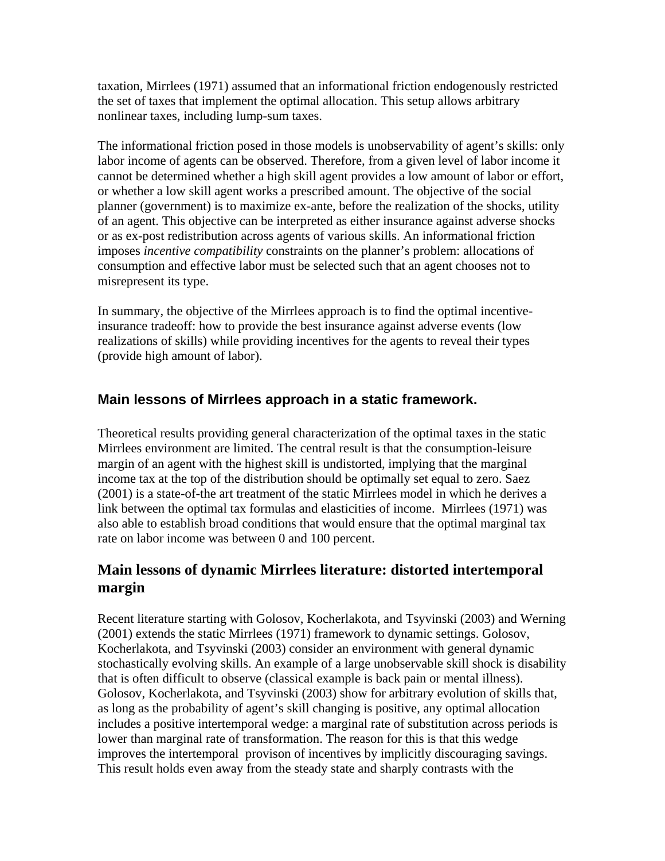taxation, Mirrlees (1971) assumed that an informational friction endogenously restricted the set of taxes that implement the optimal allocation. This setup allows arbitrary nonlinear taxes, including lump-sum taxes.

The informational friction posed in those models is unobservability of agent's skills: only labor income of agents can be observed. Therefore, from a given level of labor income it cannot be determined whether a high skill agent provides a low amount of labor or effort, or whether a low skill agent works a prescribed amount. The objective of the social planner (government) is to maximize ex-ante, before the realization of the shocks, utility of an agent. This objective can be interpreted as either insurance against adverse shocks or as ex-post redistribution across agents of various skills. An informational friction imposes *incentive compatibility* constraints on the planner's problem: allocations of consumption and effective labor must be selected such that an agent chooses not to misrepresent its type.

In summary, the objective of the Mirrlees approach is to find the optimal incentiveinsurance tradeoff: how to provide the best insurance against adverse events (low realizations of skills) while providing incentives for the agents to reveal their types (provide high amount of labor).

### **Main lessons of Mirrlees approach in a static framework.**

Theoretical results providing general characterization of the optimal taxes in the static Mirrlees environment are limited. The central result is that the consumption-leisure margin of an agent with the highest skill is undistorted, implying that the marginal income tax at the top of the distribution should be optimally set equal to zero. Saez (2001) is a state-of-the art treatment of the static Mirrlees model in which he derives a link between the optimal tax formulas and elasticities of income. Mirrlees (1971) was also able to establish broad conditions that would ensure that the optimal marginal tax rate on labor income was between 0 and 100 percent.

# **Main lessons of dynamic Mirrlees literature: distorted intertemporal margin**

Recent literature starting with Golosov, Kocherlakota, and Tsyvinski (2003) and Werning (2001) extends the static Mirrlees (1971) framework to dynamic settings. Golosov, Kocherlakota, and Tsyvinski (2003) consider an environment with general dynamic stochastically evolving skills. An example of a large unobservable skill shock is disability that is often difficult to observe (classical example is back pain or mental illness). Golosov, Kocherlakota, and Tsyvinski (2003) show for arbitrary evolution of skills that, as long as the probability of agent's skill changing is positive, any optimal allocation includes a positive intertemporal wedge: a marginal rate of substitution across periods is lower than marginal rate of transformation. The reason for this is that this wedge improves the intertemporal provison of incentives by implicitly discouraging savings. This result holds even away from the steady state and sharply contrasts with the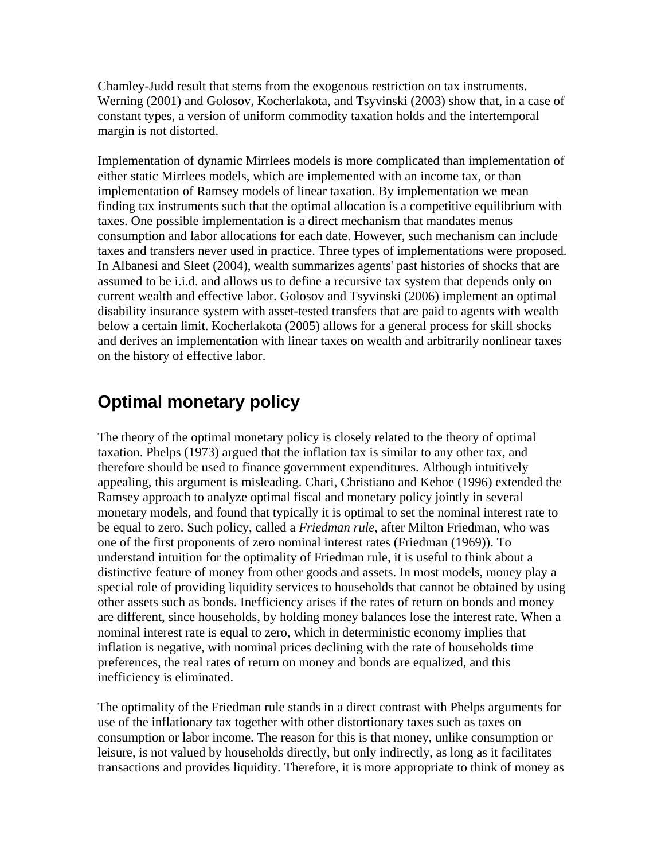Chamley-Judd result that stems from the exogenous restriction on tax instruments. Werning (2001) and Golosov, Kocherlakota, and Tsyvinski (2003) show that, in a case of constant types, a version of uniform commodity taxation holds and the intertemporal margin is not distorted.

Implementation of dynamic Mirrlees models is more complicated than implementation of either static Mirrlees models, which are implemented with an income tax, or than implementation of Ramsey models of linear taxation. By implementation we mean finding tax instruments such that the optimal allocation is a competitive equilibrium with taxes. One possible implementation is a direct mechanism that mandates menus consumption and labor allocations for each date. However, such mechanism can include taxes and transfers never used in practice. Three types of implementations were proposed. In Albanesi and Sleet (2004), wealth summarizes agents' past histories of shocks that are assumed to be i.i.d. and allows us to define a recursive tax system that depends only on current wealth and effective labor. Golosov and Tsyvinski (2006) implement an optimal disability insurance system with asset-tested transfers that are paid to agents with wealth below a certain limit. Kocherlakota (2005) allows for a general process for skill shocks and derives an implementation with linear taxes on wealth and arbitrarily nonlinear taxes on the history of effective labor.

# **Optimal monetary policy**

The theory of the optimal monetary policy is closely related to the theory of optimal taxation. Phelps (1973) argued that the inflation tax is similar to any other tax, and therefore should be used to finance government expenditures. Although intuitively appealing, this argument is misleading. Chari, Christiano and Kehoe (1996) extended the Ramsey approach to analyze optimal fiscal and monetary policy jointly in several monetary models, and found that typically it is optimal to set the nominal interest rate to be equal to zero. Such policy, called a *Friedman rule*, after Milton Friedman, who was one of the first proponents of zero nominal interest rates (Friedman (1969)). To understand intuition for the optimality of Friedman rule, it is useful to think about a distinctive feature of money from other goods and assets. In most models, money play a special role of providing liquidity services to households that cannot be obtained by using other assets such as bonds. Inefficiency arises if the rates of return on bonds and money are different, since households, by holding money balances lose the interest rate. When a nominal interest rate is equal to zero, which in deterministic economy implies that inflation is negative, with nominal prices declining with the rate of households time preferences, the real rates of return on money and bonds are equalized, and this inefficiency is eliminated.

The optimality of the Friedman rule stands in a direct contrast with Phelps arguments for use of the inflationary tax together with other distortionary taxes such as taxes on consumption or labor income. The reason for this is that money, unlike consumption or leisure, is not valued by households directly, but only indirectly, as long as it facilitates transactions and provides liquidity. Therefore, it is more appropriate to think of money as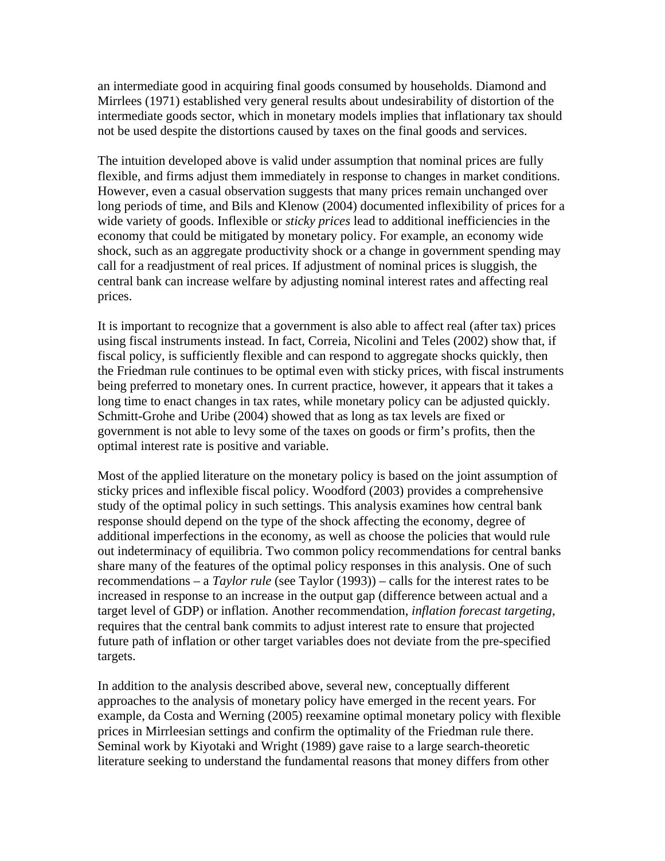an intermediate good in acquiring final goods consumed by households. Diamond and Mirrlees (1971) established very general results about undesirability of distortion of the intermediate goods sector, which in monetary models implies that inflationary tax should not be used despite the distortions caused by taxes on the final goods and services.

The intuition developed above is valid under assumption that nominal prices are fully flexible, and firms adjust them immediately in response to changes in market conditions. However, even a casual observation suggests that many prices remain unchanged over long periods of time, and Bils and Klenow (2004) documented inflexibility of prices for a wide variety of goods. Inflexible or *sticky prices* lead to additional inefficiencies in the economy that could be mitigated by monetary policy. For example, an economy wide shock, such as an aggregate productivity shock or a change in government spending may call for a readjustment of real prices. If adjustment of nominal prices is sluggish, the central bank can increase welfare by adjusting nominal interest rates and affecting real prices.

It is important to recognize that a government is also able to affect real (after tax) prices using fiscal instruments instead. In fact, Correia, Nicolini and Teles (2002) show that, if fiscal policy, is sufficiently flexible and can respond to aggregate shocks quickly, then the Friedman rule continues to be optimal even with sticky prices, with fiscal instruments being preferred to monetary ones. In current practice, however, it appears that it takes a long time to enact changes in tax rates, while monetary policy can be adjusted quickly. Schmitt-Grohe and Uribe (2004) showed that as long as tax levels are fixed or government is not able to levy some of the taxes on goods or firm's profits, then the optimal interest rate is positive and variable.

Most of the applied literature on the monetary policy is based on the joint assumption of sticky prices and inflexible fiscal policy. Woodford (2003) provides a comprehensive study of the optimal policy in such settings. This analysis examines how central bank response should depend on the type of the shock affecting the economy, degree of additional imperfections in the economy, as well as choose the policies that would rule out indeterminacy of equilibria. Two common policy recommendations for central banks share many of the features of the optimal policy responses in this analysis. One of such recommendations – a *Taylor rule* (see Taylor (1993)) – calls for the interest rates to be increased in response to an increase in the output gap (difference between actual and a target level of GDP) or inflation. Another recommendation, *inflation forecast targeting*, requires that the central bank commits to adjust interest rate to ensure that projected future path of inflation or other target variables does not deviate from the pre-specified targets.

In addition to the analysis described above, several new, conceptually different approaches to the analysis of monetary policy have emerged in the recent years. For example, da Costa and Werning (2005) reexamine optimal monetary policy with flexible prices in Mirrleesian settings and confirm the optimality of the Friedman rule there. Seminal work by Kiyotaki and Wright (1989) gave raise to a large search-theoretic literature seeking to understand the fundamental reasons that money differs from other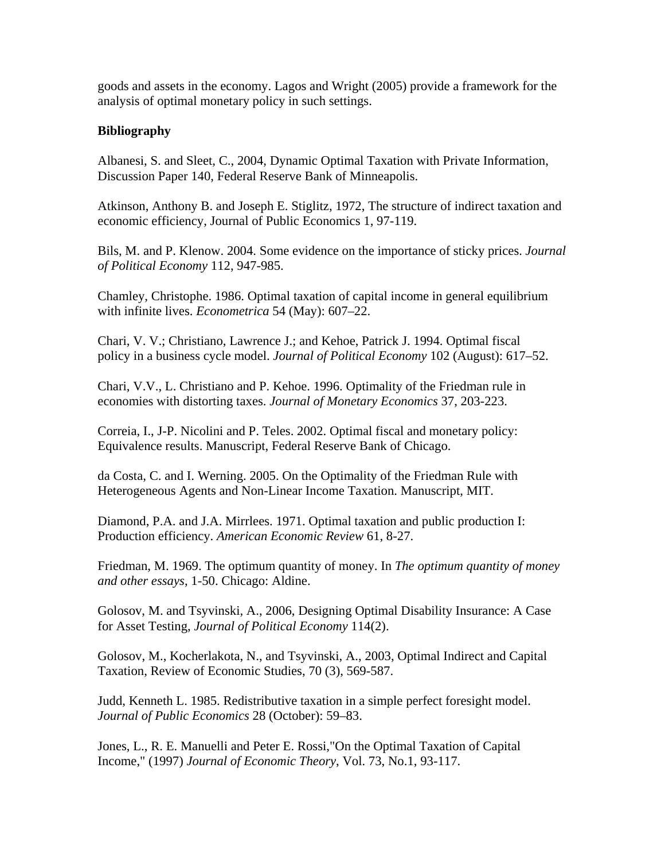goods and assets in the economy. Lagos and Wright (2005) provide a framework for the analysis of optimal monetary policy in such settings.

#### **Bibliography**

Albanesi, S. and Sleet, C., 2004, Dynamic Optimal Taxation with Private Information, Discussion Paper 140, Federal Reserve Bank of Minneapolis.

Atkinson, Anthony B. and Joseph E. Stiglitz, 1972, The structure of indirect taxation and economic efficiency, Journal of Public Economics 1, 97-119.

Bils, M. and P. Klenow. 2004. Some evidence on the importance of sticky prices. *Journal of Political Economy* 112, 947-985.

Chamley, Christophe. 1986. Optimal taxation of capital income in general equilibrium with infinite lives. *Econometrica* 54 (May): 607–22.

Chari, V. V.; Christiano, Lawrence J.; and Kehoe, Patrick J. 1994. Optimal fiscal policy in a business cycle model. *Journal of Political Economy* 102 (August): 617–52.

Chari, V.V., L. Christiano and P. Kehoe. 1996. Optimality of the Friedman rule in economies with distorting taxes. *Journal of Monetary Economics* 37, 203-223.

Correia, I., J-P. Nicolini and P. Teles. 2002. Optimal fiscal and monetary policy: Equivalence results. Manuscript, Federal Reserve Bank of Chicago.

da Costa, C. and I. Werning. 2005. On the Optimality of the Friedman Rule with Heterogeneous Agents and Non-Linear Income Taxation. Manuscript, MIT.

Diamond, P.A. and J.A. Mirrlees. 1971. Optimal taxation and public production I: Production efficiency. *American Economic Review* 61, 8-27.

Friedman, M. 1969. The optimum quantity of money. In *The optimum quantity of money and other essays*, 1-50. Chicago: Aldine.

Golosov, M. and Tsyvinski, A., 2006, Designing Optimal Disability Insurance: A Case for Asset Testing, *Journal of Political Economy* 114(2).

Golosov, M., Kocherlakota, N., and Tsyvinski, A., 2003, Optimal Indirect and Capital Taxation, Review of Economic Studies, 70 (3), 569-587.

Judd, Kenneth L. 1985. Redistributive taxation in a simple perfect foresight model. *Journal of Public Economics* 28 (October): 59–83.

Jones, L., R. E. Manuelli and Peter E. Rossi,"On the Optimal Taxation of Capital Income," (1997) *Journal of Economic Theory*, Vol. 73, No.1, 93-117.